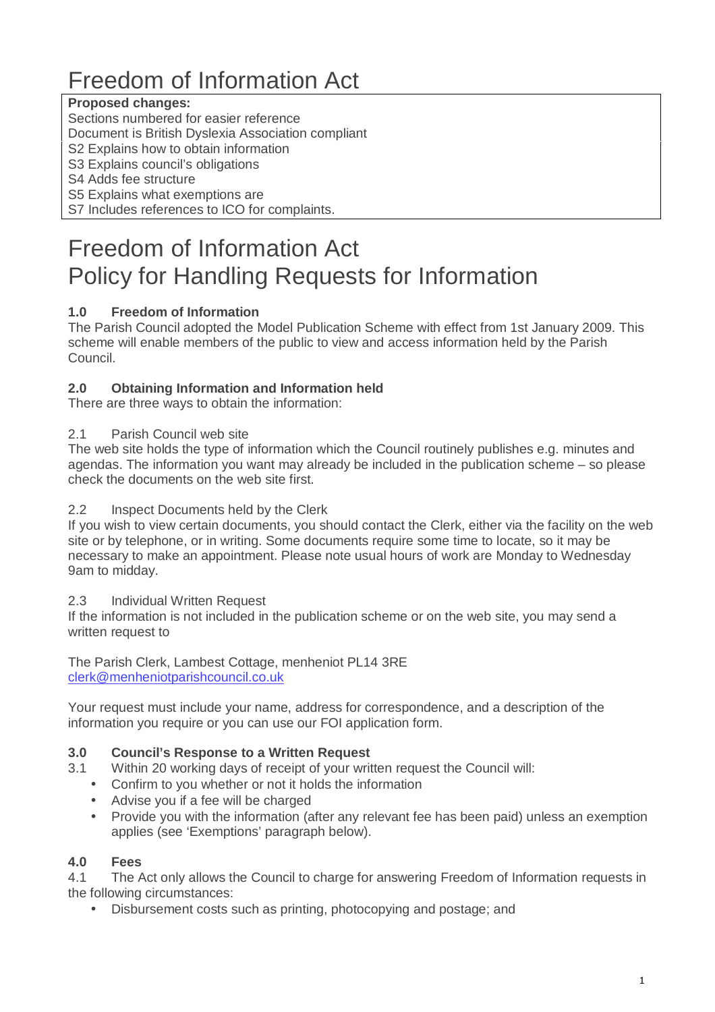# Freedom of Information Act

# **Proposed changes:**

Sections numbered for easier reference

Document is British Dyslexia Association compliant

S<sub>2</sub> Explains how to obtain information

S3 Explains council's obligations

S4 Adds fee structure

S5 Explains what exemptions are

S7 Includes references to ICO for complaints.

# Freedom of Information Act Policy for Handling Requests for Information

# **1.0 Freedom of Information**

The Parish Council adopted the Model Publication Scheme with effect from 1st January 2009. This scheme will enable members of the public to view and access information held by the Parish Council.

# **2.0 Obtaining Information and Information held**

There are three ways to obtain the information:

#### 2.1 Parish Council web site

The web site holds the type of information which the Council routinely publishes e.g. minutes and agendas. The information you want may already be included in the publication scheme – so please check the documents on the web site first.

#### 2.2 Inspect Documents held by the Clerk

If you wish to view certain documents, you should contact the Clerk, either via the facility on the web site or by telephone, or in writing. Some documents require some time to locate, so it may be necessary to make an appointment. Please note usual hours of work are Monday to Wednesday 9am to midday.

#### 2.3 Individual Written Request

If the information is not included in the publication scheme or on the web site, you may send a written request to

The Parish Clerk, Lambest Cottage, menheniot PL14 3RE clerk@menheniotparishcouncil.co.uk

Your request must include your name, address for correspondence, and a description of the information you require or you can use our FOI application form.

# **3.0 Council's Response to a Written Request**

- 3.1 Within 20 working days of receipt of your written request the Council will:
	- Confirm to you whether or not it holds the information
	- Advise you if a fee will be charged
	- Provide you with the information (after any relevant fee has been paid) unless an exemption applies (see 'Exemptions' paragraph below).

# **4.0 Fees**

4.1 The Act only allows the Council to charge for answering Freedom of Information requests in the following circumstances:

• Disbursement costs such as printing, photocopying and postage; and